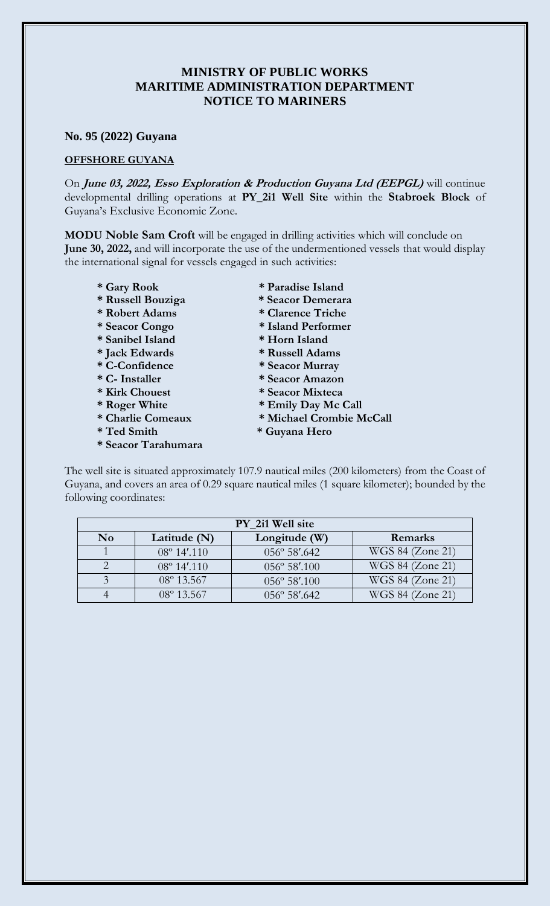## **MINISTRY OF PUBLIC WORKS MARITIME ADMINISTRATION DEPARTMENT NOTICE TO MARINERS**

## **No. 95 (2022) Guyana**

## **OFFSHORE GUYANA**

On **June 03, 2022, Esso Exploration & Production Guyana Ltd (EEPGL)** will continue developmental drilling operations at **PY\_2i1 Well Site** within the **Stabroek Block** of Guyana's Exclusive Economic Zone.

**MODU Noble Sam Croft** will be engaged in drilling activities which will conclude on **June 30, 2022,** and will incorporate the use of the undermentioned vessels that would display the international signal for vessels engaged in such activities:

- 
- **\* Russell Bouziga \* Seacor Demerara**
- **\* Robert Adams \* Clarence Triche**
- **\* Seacor Congo \* Island Performer**
- **\* Sanibel Island \* Horn Island**
- **\* Jack Edwards \* Russell Adams**
- **\* C-Confidence \* Seacor Murray**
- 
- 
- 
- 
- 
- **\* Seacor Tarahumara**
- **\* Gary Rook \* Paradise Island**
	-
	-
	-
	-
	-
	-
- **\* C- Installer \* Seacor Amazon**
- **\* Kirk Chouest \* Seacor Mixteca**
- **\* Roger White \* Emily Day Mc Call**
- **\* Charlie Comeaux \* Michael Crombie McCall**
- **\* Ted Smith \* Guyana Hero**

The well site is situated approximately 107.9 nautical miles (200 kilometers) from the Coast of Guyana, and covers an area of 0.29 square nautical miles (1 square kilometer); bounded by the following coordinates:

| PY 2i1 Well site |                       |                       |                  |
|------------------|-----------------------|-----------------------|------------------|
| N <sub>0</sub>   | Latitude (N)          | Longitude (W)         | Remarks          |
|                  | $08^{\circ} 14'$ .110 | 056° 58'.642          | WGS 84 (Zone 21) |
|                  | $08^{\circ} 14'$ .110 | 056° 58'.100          | WGS 84 (Zone 21) |
|                  | $08^{\circ} 13.567$   | 056° 58'.100          | WGS 84 (Zone 21) |
|                  | $08^{\circ}$ 13.567   | $056^{\circ}$ 58'.642 | WGS 84 (Zone 21) |